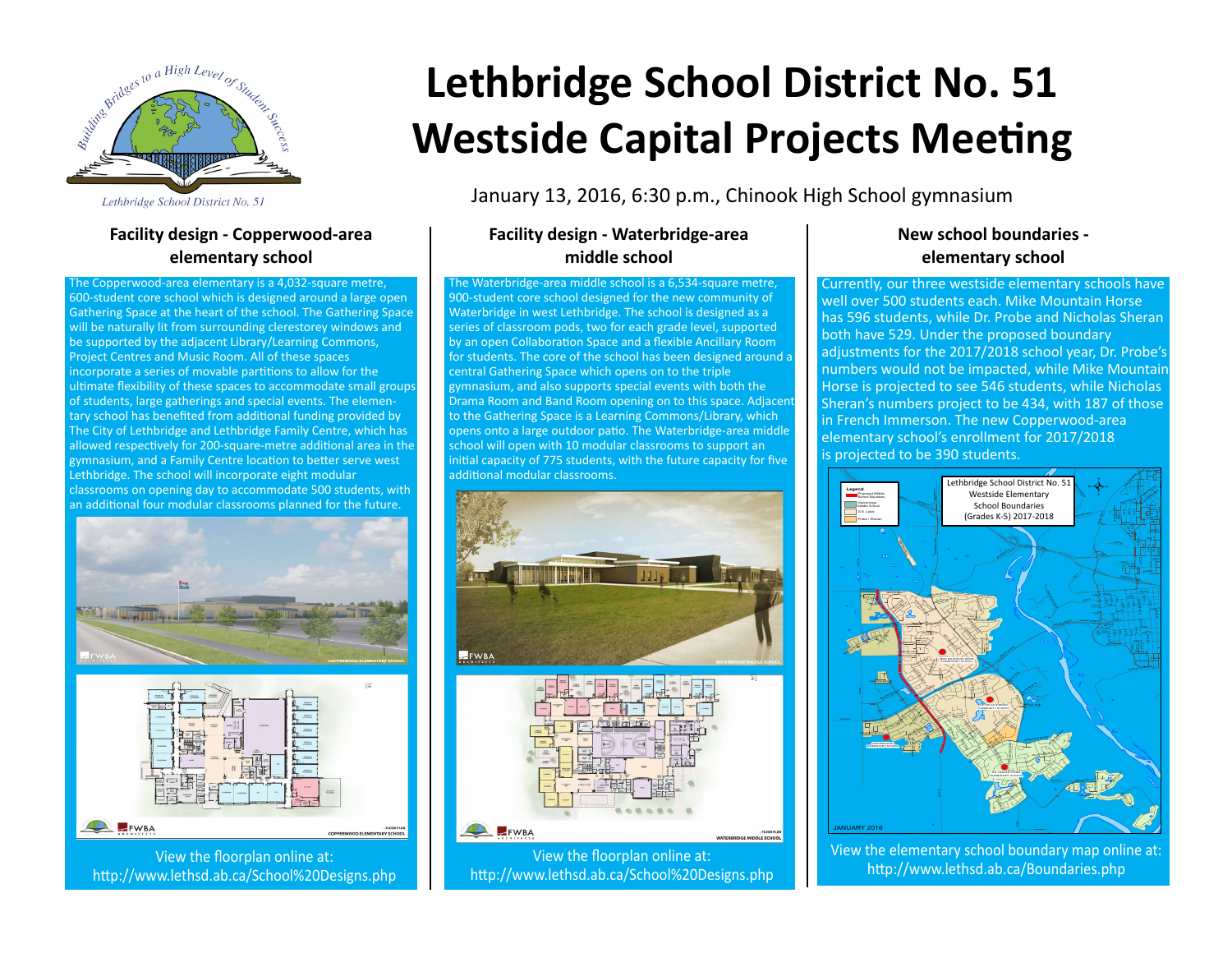

Lethbridge School District No. 51

### **Facility design - Copperwood-area elementary school**

The Copperwood-area elementary is a 4,032-square metre, 600-student core school which is designed around a large open Gathering Space at the heart of the school. The Gathering Space will be naturally lit from surrounding clerestorey windows and be supported by the adjacent Library/Learning Commons, Project Centres and Music Room. All of these spaces incorporate a series of movable partitions to allow for the ultimate flexibility of these spaces to accommodate small groups of students, large gatherings and special events. The elementary school has benefited from additional funding provided by The City of Lethbridge and Lethbridge Family Centre, which has allowed respectively for 200-square-metre additional area in the gymnasium, and a Family Centre location to better serve west Lethbridge. The school will incorporate eight modular classrooms on opening day to accommodate 500 students, with an additional four modular classrooms planned for the future.





http://www.lethsd.ab.ca/School%20Designs.php

# **Lethbridge School District No. 51 Westside Capital Projects Meeting**

January 13, 2016, 6:30 p.m., Chinook High School gymnasium

### **Facility design - Waterbridge-area middle school**

The Waterbridge-area middle school is a 6,534-square metre, 900-student core school designed for the new community of Waterbridge in west Lethbridge. The school is designed as a series of classroom pods, two for each grade level, supported by an open Collaboration Space and a flexible Ancillary Room for students. The core of the school has been designed around a central Gathering Space which opens on to the triple gymnasium, and also supports special events with both the Drama Room and Band Room opening on to this space. Adjacent to the Gathering Space is a Learning Commons/Library, which opens onto a large outdoor patio. The Waterbridge-area middle school will open with 10 modular classrooms to support an initial capacity of 775 students, with the future capacity for five additional modular classrooms.



### **New school boundaries elementary school**

Currently, our three westside elementary schools have well over 500 students each. Mike Mountain Horse has 596 students, while Dr. Probe and Nicholas Sheran both have 529. Under the proposed boundary adjustments for the 2017/2018 school year, Dr. Probe's numbers would not be impacted, while Mike Mountain Horse is projected to see 546 students, while Nicholas Sheran's numbers project to be 434, with 187 of those in French Immerson. The new Copperwood-area elementary school's enrollment for 2017/2018 is projected to be 390 students.



View the elementary school boundary map online at: